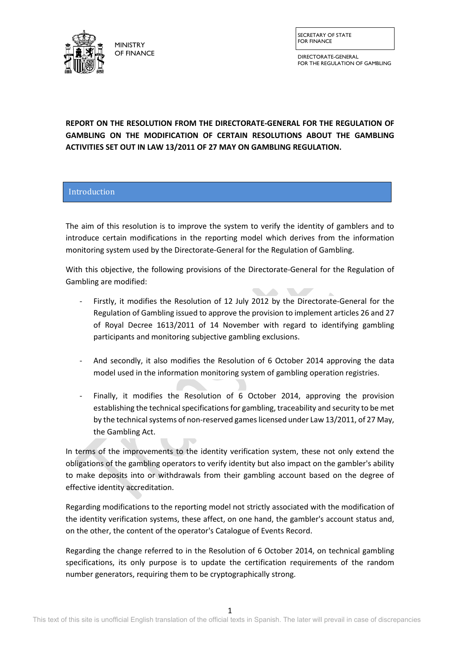

SECRETARY OF STATE FOR FINANCE

DIRECTORATE-GENERAL FOR THE REGULATION OF GAMBLING

**REPORT ON THE RESOLUTION FROM THE DIRECTORATE-GENERAL FOR THE REGULATION OF GAMBLING ON THE MODIFICATION OF CERTAIN RESOLUTIONS ABOUT THE GAMBLING ACTIVITIES SET OUT IN LAW 13/2011 OF 27 MAY ON GAMBLING REGULATION.**

# Introduction

The aim of this resolution is to improve the system to verify the identity of gamblers and to introduce certain modifications in the reporting model which derives from the information monitoring system used by the Directorate-General for the Regulation of Gambling.

With this objective, the following provisions of the Directorate-General for the Regulation of Gambling are modified:

- Firstly, it modifies the Resolution of 12 July 2012 by the Directorate-General for the Regulation of Gambling issued to approve the provision to implement articles 26 and 27 of Royal Decree 1613/2011 of 14 November with regard to identifying gambling participants and monitoring subjective gambling exclusions.
- And secondly, it also modifies the Resolution of 6 October 2014 approving the data model used in the information monitoring system of gambling operation registries.
- Finally, it modifies the Resolution of 6 October 2014, approving the provision establishing the technical specifications for gambling, traceability and security to be met by the technical systems of non-reserved games licensed under Law 13/2011, of 27 May, the Gambling Act.

In terms of the improvements to the identity verification system, these not only extend the obligations of the gambling operators to verify identity but also impact on the gambler's ability to make deposits into or withdrawals from their gambling account based on the degree of effective identity accreditation.

Regarding modifications to the reporting model not strictly associated with the modification of the identity verification systems, these affect, on one hand, the gambler's account status and, on the other, the content of the operator's Catalogue of Events Record.

Regarding the change referred to in the Resolution of 6 October 2014, on technical gambling specifications, its only purpose is to update the certification requirements of the random number generators, requiring them to be cryptographically strong.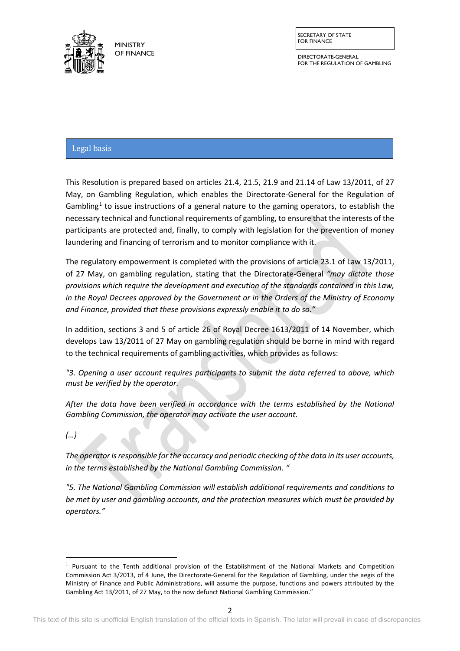

DIRECTORATE-GENERAL FOR THE REGULATION OF GAMBLING

# Legal basis

This Resolution is prepared based on articles 21.4, 21.5, 21.9 and 21.14 of Law 13/2011, of 27 May, on Gambling Regulation, which enables the Directorate-General for the Regulation of Gambling<sup>[1](#page-1-0)</sup> to issue instructions of a general nature to the gaming operators, to establish the necessary technical and functional requirements of gambling, to ensure that the interests of the participants are protected and, finally, to comply with legislation for the prevention of money laundering and financing of terrorism and to monitor compliance with it.

The regulatory empowerment is completed with the provisions of article 23.1 of Law 13/2011, of 27 May, on gambling regulation, stating that the Directorate-General *"may dictate those provisions which require the development and execution of the standards contained in this Law, in the Royal Decrees approved by the Government or in the Orders of the Ministry of Economy and Finance, provided that these provisions expressly enable it to do so."* 

In addition, sections 3 and 5 of article 26 of Royal Decree 1613/2011 of 14 November, which develops Law 13/2011 of 27 May on gambling regulation should be borne in mind with regard to the technical requirements of gambling activities, which provides as follows:

*"3. Opening a user account requires participants to submit the data referred to above, which must be verified by the operator.*

*After the data have been verified in accordance with the terms established by the National Gambling Commission, the operator may activate the user account.*

*(…)* 

**.** 

*The operator is responsible for the accuracy and periodic checking of the data in its user accounts, in the terms established by the National Gambling Commission. "*

*"5. The National Gambling Commission will establish additional requirements and conditions to be met by user and gambling accounts, and the protection measures which must be provided by operators."*

<span id="page-1-0"></span> $<sup>1</sup>$  Pursuant to the Tenth additional provision of the Establishment of the National Markets and Competition</sup> Commission Act 3/2013, of 4 June, the Directorate-General for the Regulation of Gambling, under the aegis of the Ministry of Finance and Public Administrations, will assume the purpose, functions and powers attributed by the Gambling Act 13/2011, of 27 May, to the now defunct National Gambling Commission."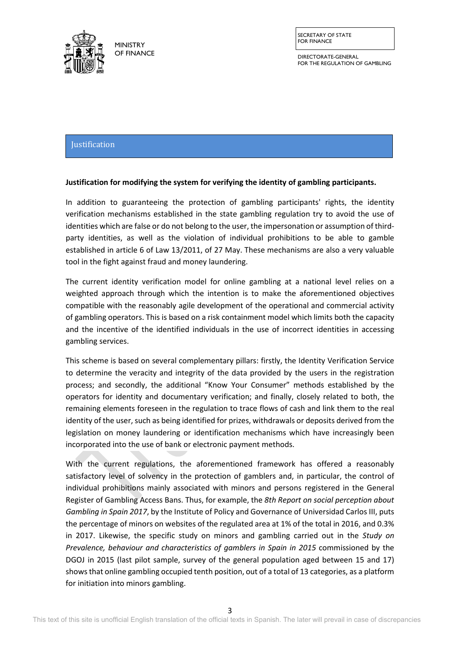

SECRETARY OF STATE FOR FINANCE

DIRECTORATE-GENERAL FOR THE REGULATION OF GAMBLING

# **Justification for modifying the gamblers' identity verification system**  Justification

## **Justification for modifying the system for verifying the identity of gambling participants.**

In addition to guaranteeing the protection of gambling participants' rights, the identity verification mechanisms established in the state gambling regulation try to avoid the use of identities which are false or do not belong to the user, the impersonation or assumption of thirdparty identities, as well as the violation of individual prohibitions to be able to gamble established in article 6 of Law 13/2011, of 27 May. These mechanisms are also a very valuable tool in the fight against fraud and money laundering.

The current identity verification model for online gambling at a national level relies on a weighted approach through which the intention is to make the aforementioned objectives compatible with the reasonably agile development of the operational and commercial activity of gambling operators. This is based on a risk containment model which limits both the capacity and the incentive of the identified individuals in the use of incorrect identities in accessing gambling services.

This scheme is based on several complementary pillars: firstly, the Identity Verification Service to determine the veracity and integrity of the data provided by the users in the registration process; and secondly, the additional "Know Your Consumer" methods established by the operators for identity and documentary verification; and finally, closely related to both, the remaining elements foreseen in the regulation to trace flows of cash and link them to the real identity of the user, such as being identified for prizes, withdrawals or deposits derived from the legislation on money laundering or identification mechanisms which have increasingly been incorporated into the use of bank or electronic payment methods.

With the current regulations, the aforementioned framework has offered a reasonably satisfactory level of solvency in the protection of gamblers and, in particular, the control of individual prohibitions mainly associated with minors and persons registered in the General Register of Gambling Access Bans. Thus, for example, the *8th Report on social perception about Gambling in Spain 2017*, by the Institute of Policy and Governance of Universidad Carlos III, puts the percentage of minors on websites of the regulated area at 1% of the total in 2016, and 0.3% in 2017. Likewise, the specific study on minors and gambling carried out in the *Study on Prevalence, behaviour and characteristics of gamblers in Spain in 2015* commissioned by the DGOJ in 2015 (last pilot sample, survey of the general population aged between 15 and 17) shows that online gambling occupied tenth position, out of a total of 13 categories, as a platform for initiation into minors gambling.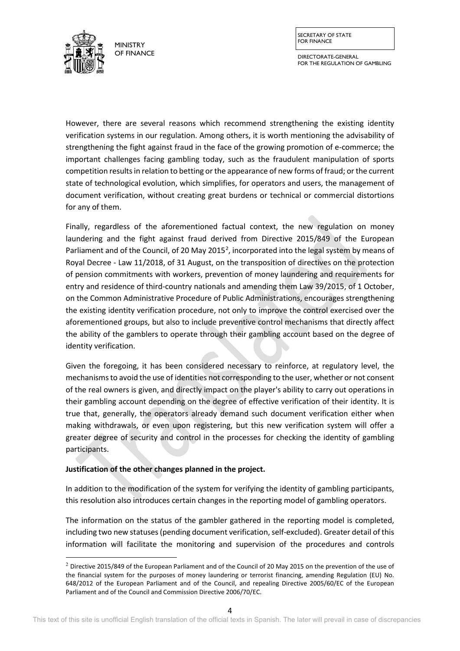

DIRECTORATE-GENERAL FOR THE REGULATION OF GAMBLING

However, there are several reasons which recommend strengthening the existing identity verification systems in our regulation. Among others, it is worth mentioning the advisability of strengthening the fight against fraud in the face of the growing promotion of e-commerce; the important challenges facing gambling today, such as the fraudulent manipulation of sports competition results in relation to betting or the appearance of new forms of fraud; or the current state of technological evolution, which simplifies, for operators and users, the management of document verification, without creating great burdens or technical or commercial distortions for any of them.

Finally, regardless of the aforementioned factual context, the new regulation on money laundering and the fight against fraud derived from Directive 2015/849 of the European Parliament and of the Council, of [2](#page-3-0)0 May 2015<sup>2</sup>, incorporated into the legal system by means of Royal Decree - Law 11/2018, of 31 August, on the transposition of directives on the protection of pension commitments with workers, prevention of money laundering and requirements for entry and residence of third-country nationals and amending them Law 39/2015, of 1 October, on the Common Administrative Procedure of Public Administrations, encourages strengthening the existing identity verification procedure, not only to improve the control exercised over the aforementioned groups, but also to include preventive control mechanisms that directly affect the ability of the gamblers to operate through their gambling account based on the degree of identity verification.

Given the foregoing, it has been considered necessary to reinforce, at regulatory level, the mechanisms to avoid the use of identities not corresponding to the user, whether or not consent of the real owners is given, and directly impact on the player's ability to carry out operations in their gambling account depending on the degree of effective verification of their identity. It is true that, generally, the operators already demand such document verification either when making withdrawals, or even upon registering, but this new verification system will offer a greater degree of security and control in the processes for checking the identity of gambling participants.

#### **Justification of the other changes planned in the project.**

**.** 

In addition to the modification of the system for verifying the identity of gambling participants, this resolution also introduces certain changes in the reporting model of gambling operators.

The information on the status of the gambler gathered in the reporting model is completed, including two new statuses (pending document verification, self-excluded). Greater detail of this information will facilitate the monitoring and supervision of the procedures and controls

<span id="page-3-0"></span> $2$  Directive 2015/849 of the European Parliament and of the Council of 20 May 2015 on the prevention of the use of the financial system for the purposes of money laundering or terrorist financing, amending Regulation (EU) No. 648/2012 of the European Parliament and of the Council, and repealing Directive 2005/60/EC of the European Parliament and of the Council and Commission Directive 2006/70/EC.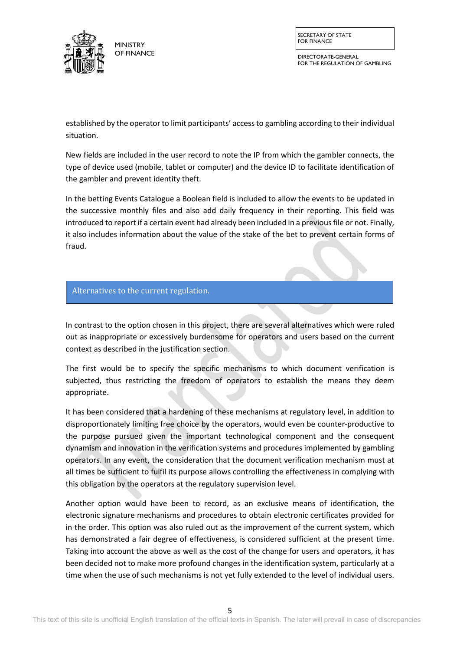

SECRETARY OF STATE FOR FINANCE

DIRECTORATE-GENERAL FOR THE REGULATION OF GAMBLING

established by the operator to limit participants' access to gambling according to their individual situation.

New fields are included in the user record to note the IP from which the gambler connects, the type of device used (mobile, tablet or computer) and the device ID to facilitate identification of the gambler and prevent identity theft.

In the betting Events Catalogue a Boolean field is included to allow the events to be updated in the successive monthly files and also add daily frequency in their reporting. This field was introduced to report if a certain event had already been included in a previous file or not. Finally, it also includes information about the value of the stake of the bet to prevent certain forms of fraud.

## Alternatives to the current regulation.

In contrast to the option chosen in this project, there are several alternatives which were ruled out as inappropriate or excessively burdensome for operators and users based on the current context as described in the justification section.

The first would be to specify the specific mechanisms to which document verification is subjected, thus restricting the freedom of operators to establish the means they deem appropriate.

It has been considered that a hardening of these mechanisms at regulatory level, in addition to disproportionately limiting free choice by the operators, would even be counter-productive to the purpose pursued given the important technological component and the consequent dynamism and innovation in the verification systems and procedures implemented by gambling operators. In any event, the consideration that the document verification mechanism must at all times be sufficient to fulfil its purpose allows controlling the effectiveness in complying with this obligation by the operators at the regulatory supervision level.

Another option would have been to record, as an exclusive means of identification, the electronic signature mechanisms and procedures to obtain electronic certificates provided for in the order. This option was also ruled out as the improvement of the current system, which has demonstrated a fair degree of effectiveness, is considered sufficient at the present time. Taking into account the above as well as the cost of the change for users and operators, it has been decided not to make more profound changes in the identification system, particularly at a time when the use of such mechanisms is not yet fully extended to the level of individual users.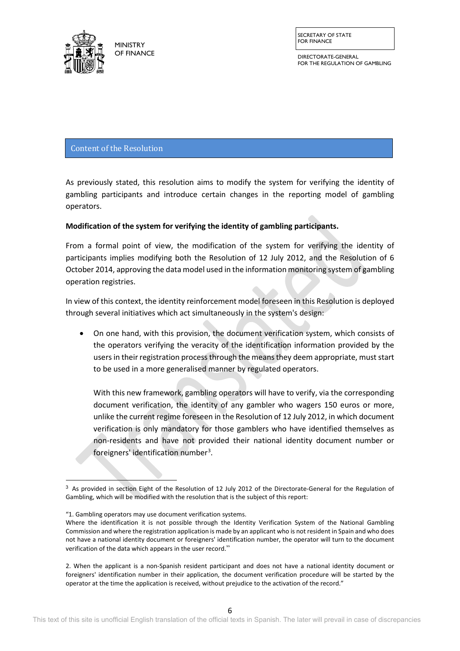

<u>.</u>

**MINISTRY** OF FINANCE SECRETARY OF STATE FOR FINANCE

DIRECTORATE-GENERAL FOR THE REGULATION OF GAMBLING

Content of the Resolution

As previously stated, this resolution aims to modify the system for verifying the identity of gambling participants and introduce certain changes in the reporting model of gambling operators.

## **Modification of the system for verifying the identity of gambling participants.**

From a formal point of view, the modification of the system for verifying the identity of participants implies modifying both the Resolution of 12 July 2012, and the Resolution of 6 October 2014, approving the data model used in the information monitoring system of gambling operation registries.

In view of this context, the identity reinforcement model foreseen in this Resolution is deployed through several initiatives which act simultaneously in the system's design:

• On one hand, with this provision, the document verification system, which consists of the operators verifying the veracity of the identification information provided by the users in their registration process through the means they deem appropriate, must start to be used in a more generalised manner by regulated operators.

With this new framework, gambling operators will have to verify, via the corresponding document verification, the identity of any gambler who wagers 150 euros or more, unlike the current regime foreseen in the Resolution of 12 July 2012, in which document verification is only mandatory for those gamblers who have identified themselves as non-residents and have not provided their national identity document number or foreigners' identification number<sup>[3](#page-5-0)</sup>.

<span id="page-5-0"></span> $3$  As provided in section Eight of the Resolution of 12 July 2012 of the Directorate-General for the Regulation of Gambling, which will be modified with the resolution that is the subject of this report:

<sup>&</sup>quot;1. Gambling operators may use document verification systems.

Where the identification it is not possible through the Identity Verification System of the National Gambling Commission and where the registration application is made by an applicant who is not resident in Spain and who does not have a national identity document or foreigners' identification number, the operator will turn to the document verification of the data which appears in the user record."

<sup>2.</sup> When the applicant is a non-Spanish resident participant and does not have a national identity document or foreigners' identification number in their application, the document verification procedure will be started by the operator at the time the application is received, without prejudice to the activation of the record."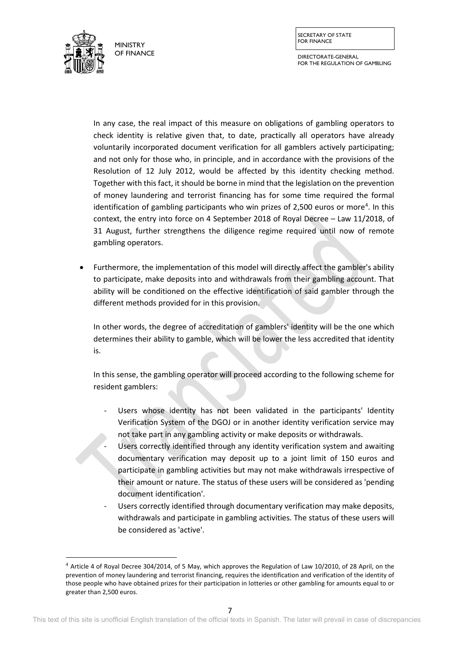DIRECTORATE-GENERAL FOR THE REGULATION OF GAMBLING



**.** 

In any case, the real impact of this measure on obligations of gambling operators to check identity is relative given that, to date, practically all operators have already voluntarily incorporated document verification for all gamblers actively participating; and not only for those who, in principle, and in accordance with the provisions of the Resolution of 12 July 2012, would be affected by this identity checking method. Together with this fact, it should be borne in mind that the legislation on the prevention of money laundering and terrorist financing has for some time required the formal identification of gambling participants who win prizes of 2,500 euros or more<sup>[4](#page-6-0)</sup>. In this context, the entry into force on 4 September 2018 of Royal Decree – Law 11/2018, of 31 August, further strengthens the diligence regime required until now of remote gambling operators.

• Furthermore, the implementation of this model will directly affect the gambler's ability to participate, make deposits into and withdrawals from their gambling account. That ability will be conditioned on the effective identification of said gambler through the different methods provided for in this provision.

In other words, the degree of accreditation of gamblers' identity will be the one which determines their ability to gamble, which will be lower the less accredited that identity is.

In this sense, the gambling operator will proceed according to the following scheme for resident gamblers:

- Users whose identity has not been validated in the participants' Identity Verification System of the DGOJ or in another identity verification service may not take part in any gambling activity or make deposits or withdrawals.
	- Users correctly identified through any identity verification system and awaiting documentary verification may deposit up to a joint limit of 150 euros and participate in gambling activities but may not make withdrawals irrespective of their amount or nature. The status of these users will be considered as 'pending document identification'.
- Users correctly identified through documentary verification may make deposits, withdrawals and participate in gambling activities. The status of these users will be considered as 'active'.

<span id="page-6-0"></span><sup>4</sup> Article 4 of Royal Decree 304/2014, of 5 May, which approves the Regulation of Law 10/2010, of 28 April, on the prevention of money laundering and terrorist financing, requires the identification and verification of the identity of those people who have obtained prizes for their participation in lotteries or other gambling for amounts equal to or greater than 2,500 euros.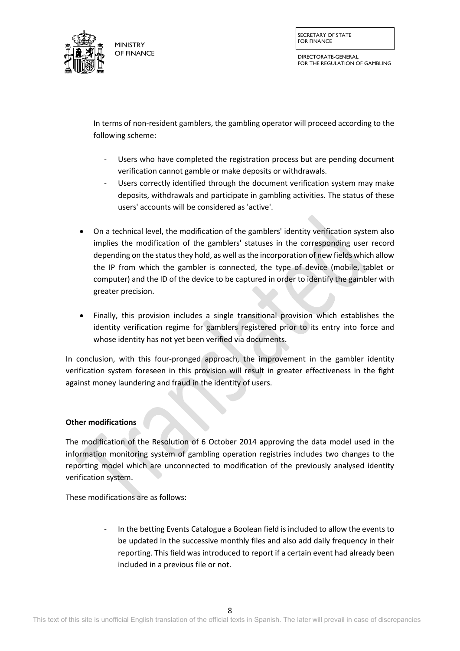

DIRECTORATE-GENERAL FOR THE REGULATION OF GAMBLING

In terms of non-resident gamblers, the gambling operator will proceed according to the following scheme:

- Users who have completed the registration process but are pending document verification cannot gamble or make deposits or withdrawals.
- Users correctly identified through the document verification system may make deposits, withdrawals and participate in gambling activities. The status of these users' accounts will be considered as 'active'.
- On a technical level, the modification of the gamblers' identity verification system also implies the modification of the gamblers' statuses in the corresponding user record depending on the status they hold, as well as the incorporation of new fields which allow the IP from which the gambler is connected, the type of device (mobile, tablet or computer) and the ID of the device to be captured in order to identify the gambler with greater precision.
- Finally, this provision includes a single transitional provision which establishes the identity verification regime for gamblers registered prior to its entry into force and whose identity has not yet been verified via documents.

In conclusion, with this four-pronged approach, the improvement in the gambler identity verification system foreseen in this provision will result in greater effectiveness in the fight against money laundering and fraud in the identity of users.

## **Other modifications**

The modification of the Resolution of 6 October 2014 approving the data model used in the information monitoring system of gambling operation registries includes two changes to the reporting model which are unconnected to modification of the previously analysed identity verification system.

These modifications are as follows:

- In the betting Events Catalogue a Boolean field is included to allow the events to be updated in the successive monthly files and also add daily frequency in their reporting. This field was introduced to report if a certain event had already been included in a previous file or not.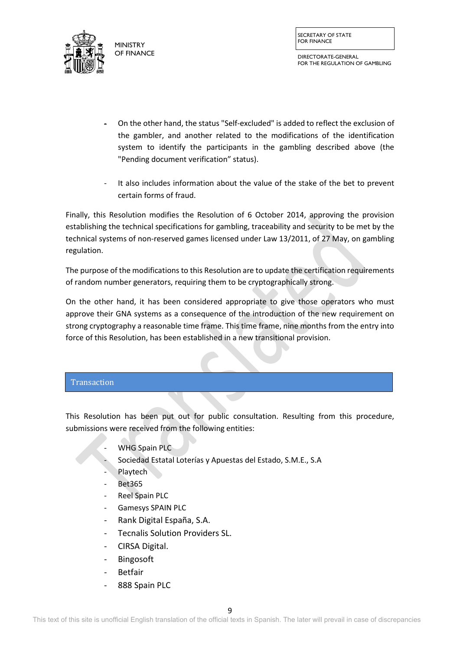

DIRECTORATE-GENERAL FOR THE REGULATION OF GAMBLING

- On the other hand, the status "Self-excluded" is added to reflect the exclusion of the gambler, and another related to the modifications of the identification system to identify the participants in the gambling described above (the "Pending document verification" status).
- It also includes information about the value of the stake of the bet to prevent certain forms of fraud.

Finally, this Resolution modifies the Resolution of 6 October 2014, approving the provision establishing the technical specifications for gambling, traceability and security to be met by the technical systems of non-reserved games licensed under Law 13/2011, of 27 May, on gambling regulation.

The purpose of the modifications to this Resolution are to update the certification requirements of random number generators, requiring them to be cryptographically strong.

On the other hand, it has been considered appropriate to give those operators who must approve their GNA systems as a consequence of the introduction of the new requirement on strong cryptography a reasonable time frame. This time frame, nine months from the entry into force of this Resolution, has been established in a new transitional provision.

# **Transaction**

This Resolution has been put out for public consultation. Resulting from this procedure, submissions were received from the following entities:

- WHG Spain PLC
- Sociedad Estatal Loterías y Apuestas del Estado, S.M.E., S.A
- **Playtech**
- Bet365
- Reel Spain PLC
- Gamesys SPAIN PLC
- Rank Digital España, S.A.
- Tecnalis Solution Providers SL.
- CIRSA Digital.
- **Bingosoft**
- **Betfair**
- 888 Spain PLC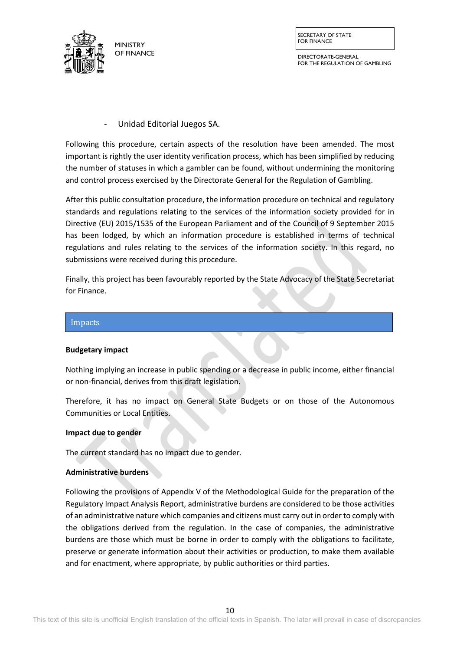

SECRETARY OF STATE FOR FINANCE

DIRECTORATE-GENERAL FOR THE REGULATION OF GAMBLING

- Unidad Editorial Juegos SA.

Following this procedure, certain aspects of the resolution have been amended. The most important is rightly the user identity verification process, which has been simplified by reducing the number of statuses in which a gambler can be found, without undermining the monitoring and control process exercised by the Directorate General for the Regulation of Gambling.

After this public consultation procedure, the information procedure on technical and regulatory standards and regulations relating to the services of the information society provided for in Directive (EU) 2015/1535 of the European Parliament and of the Council of 9 September 2015 has been lodged, by which an information procedure is established in terms of technical regulations and rules relating to the services of the information society. In this regard, no submissions were received during this procedure.

Finally, this project has been favourably reported by the State Advocacy of the State Secretariat for Finance.



#### **Budgetary impact**

Nothing implying an increase in public spending or a decrease in public income, either financial or non-financial, derives from this draft legislation.

Therefore, it has no impact on General State Budgets or on those of the Autonomous Communities or Local Entities.

#### **Impact due to gender**

The current standard has no impact due to gender.

#### **Administrative burdens**

Following the provisions of Appendix V of the Methodological Guide for the preparation of the Regulatory Impact Analysis Report, administrative burdens are considered to be those activities of an administrative nature which companies and citizens must carry out in order to comply with the obligations derived from the regulation. In the case of companies, the administrative burdens are those which must be borne in order to comply with the obligations to facilitate, preserve or generate information about their activities or production, to make them available and for enactment, where appropriate, by public authorities or third parties.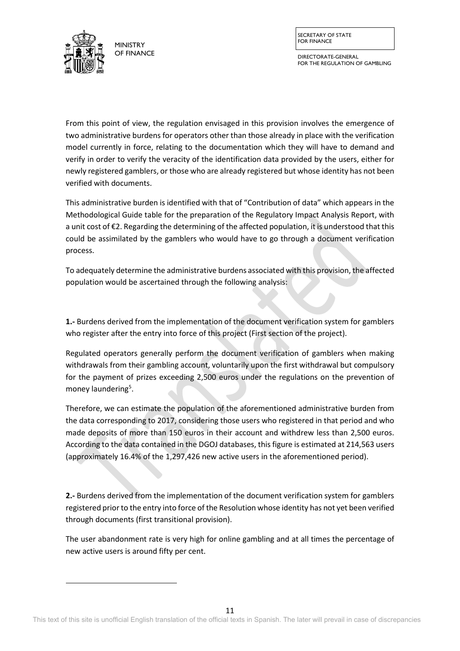

<span id="page-10-0"></span> $\overline{a}$ 

SECRETARY OF STATE FOR FINANCE

DIRECTORATE-GENERAL FOR THE REGULATION OF GAMBLING

From this point of view, the regulation envisaged in this provision involves the emergence of two administrative burdens for operators other than those already in place with the verification model currently in force, relating to the documentation which they will have to demand and verify in order to verify the veracity of the identification data provided by the users, either for newly registered gamblers, or those who are already registered but whose identity has not been verified with documents.

This administrative burden is identified with that of "Contribution of data" which appears in the Methodological Guide table for the preparation of the Regulatory Impact Analysis Report, with a unit cost of €2. Regarding the determining of the affected population, it is understood that this could be assimilated by the gamblers who would have to go through a document verification process.

To adequately determine the administrative burdens associated with this provision, the affected population would be ascertained through the following analysis:

**1.-** Burdens derived from the implementation of the document verification system for gamblers who register after the entry into force of this project (First section of the project).

Regulated operators generally perform the document verification of gamblers when making withdrawals from their gambling account, voluntarily upon the first withdrawal but compulsory for the payment of prizes exceeding 2,500 euros under the regulations on the prevention of money laundering<sup>[5](#page-10-0)</sup>.

Therefore, we can estimate the population of the aforementioned administrative burden from the data corresponding to 2017, considering those users who registered in that period and who made deposits of more than 150 euros in their account and withdrew less than 2,500 euros. According to the data contained in the DGOJ databases, this figure is estimated at 214,563 users (approximately 16.4% of the 1,297,426 new active users in the aforementioned period).

**2.-** Burdens derived from the implementation of the document verification system for gamblers registered prior to the entry into force of the Resolution whose identity has not yet been verified through documents (first transitional provision).

The user abandonment rate is very high for online gambling and at all times the percentage of new active users is around fifty per cent.